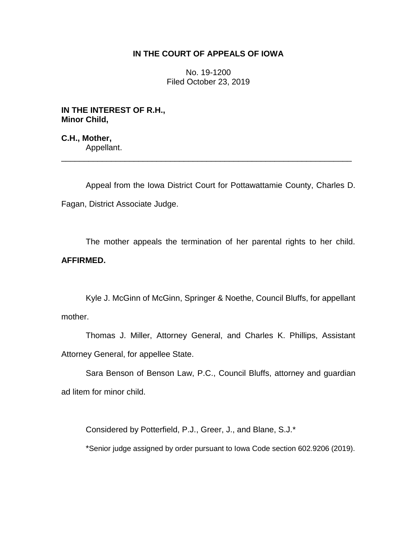# **IN THE COURT OF APPEALS OF IOWA**

No. 19-1200 Filed October 23, 2019

**IN THE INTEREST OF R.H., Minor Child,**

**C.H., Mother,** Appellant.

Appeal from the Iowa District Court for Pottawattamie County, Charles D. Fagan, District Associate Judge.

\_\_\_\_\_\_\_\_\_\_\_\_\_\_\_\_\_\_\_\_\_\_\_\_\_\_\_\_\_\_\_\_\_\_\_\_\_\_\_\_\_\_\_\_\_\_\_\_\_\_\_\_\_\_\_\_\_\_\_\_\_\_\_\_

The mother appeals the termination of her parental rights to her child. **AFFIRMED.**

Kyle J. McGinn of McGinn, Springer & Noethe, Council Bluffs, for appellant mother.

Thomas J. Miller, Attorney General, and Charles K. Phillips, Assistant Attorney General, for appellee State.

Sara Benson of Benson Law, P.C., Council Bluffs, attorney and guardian ad litem for minor child.

Considered by Potterfield, P.J., Greer, J., and Blane, S.J.\*

\*Senior judge assigned by order pursuant to Iowa Code section 602.9206 (2019).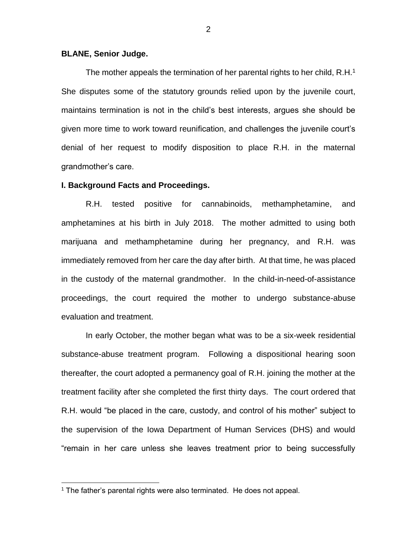## **BLANE, Senior Judge.**

The mother appeals the termination of her parental rights to her child,  $R.H.<sup>1</sup>$ She disputes some of the statutory grounds relied upon by the juvenile court, maintains termination is not in the child's best interests, argues she should be given more time to work toward reunification, and challenges the juvenile court's denial of her request to modify disposition to place R.H. in the maternal grandmother's care.

#### **I. Background Facts and Proceedings.**

R.H. tested positive for cannabinoids, methamphetamine, and amphetamines at his birth in July 2018. The mother admitted to using both marijuana and methamphetamine during her pregnancy, and R.H. was immediately removed from her care the day after birth. At that time, he was placed in the custody of the maternal grandmother. In the child-in-need-of-assistance proceedings, the court required the mother to undergo substance-abuse evaluation and treatment.

In early October, the mother began what was to be a six-week residential substance-abuse treatment program. Following a dispositional hearing soon thereafter, the court adopted a permanency goal of R.H. joining the mother at the treatment facility after she completed the first thirty days. The court ordered that R.H. would "be placed in the care, custody, and control of his mother" subject to the supervision of the Iowa Department of Human Services (DHS) and would "remain in her care unless she leaves treatment prior to being successfully

 $\overline{a}$ 

 $1$  The father's parental rights were also terminated. He does not appeal.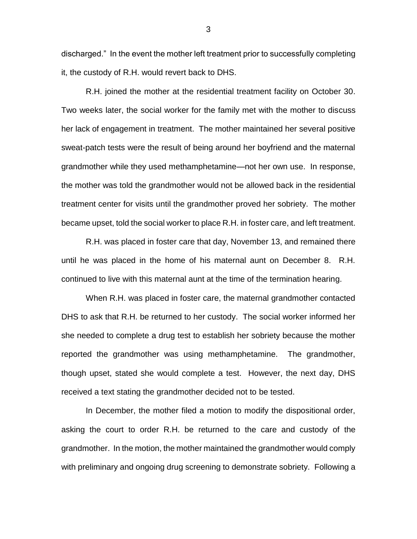discharged." In the event the mother left treatment prior to successfully completing it, the custody of R.H. would revert back to DHS.

R.H. joined the mother at the residential treatment facility on October 30. Two weeks later, the social worker for the family met with the mother to discuss her lack of engagement in treatment. The mother maintained her several positive sweat-patch tests were the result of being around her boyfriend and the maternal grandmother while they used methamphetamine—not her own use. In response, the mother was told the grandmother would not be allowed back in the residential treatment center for visits until the grandmother proved her sobriety. The mother became upset, told the social worker to place R.H. in foster care, and left treatment.

R.H. was placed in foster care that day, November 13, and remained there until he was placed in the home of his maternal aunt on December 8. R.H. continued to live with this maternal aunt at the time of the termination hearing.

When R.H. was placed in foster care, the maternal grandmother contacted DHS to ask that R.H. be returned to her custody. The social worker informed her she needed to complete a drug test to establish her sobriety because the mother reported the grandmother was using methamphetamine. The grandmother, though upset, stated she would complete a test. However, the next day, DHS received a text stating the grandmother decided not to be tested.

In December, the mother filed a motion to modify the dispositional order, asking the court to order R.H. be returned to the care and custody of the grandmother. In the motion, the mother maintained the grandmother would comply with preliminary and ongoing drug screening to demonstrate sobriety. Following a

3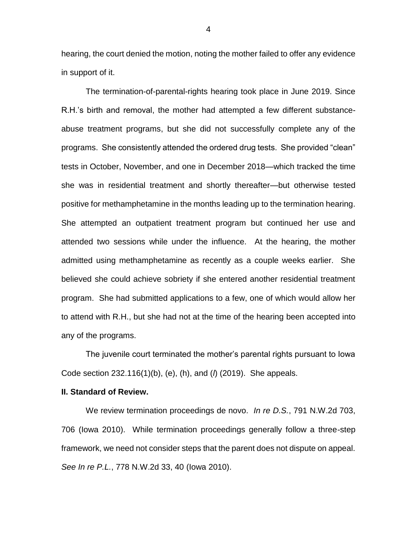hearing, the court denied the motion, noting the mother failed to offer any evidence in support of it.

The termination-of-parental-rights hearing took place in June 2019. Since R.H.'s birth and removal, the mother had attempted a few different substanceabuse treatment programs, but she did not successfully complete any of the programs. She consistently attended the ordered drug tests. She provided "clean" tests in October, November, and one in December 2018—which tracked the time she was in residential treatment and shortly thereafter—but otherwise tested positive for methamphetamine in the months leading up to the termination hearing. She attempted an outpatient treatment program but continued her use and attended two sessions while under the influence. At the hearing, the mother admitted using methamphetamine as recently as a couple weeks earlier. She believed she could achieve sobriety if she entered another residential treatment program. She had submitted applications to a few, one of which would allow her to attend with R.H., but she had not at the time of the hearing been accepted into any of the programs.

The juvenile court terminated the mother's parental rights pursuant to Iowa Code section 232.116(1)(b), (e), (h), and (*l*) (2019). She appeals.

#### **II. Standard of Review.**

We review termination proceedings de novo. *In re D.S.*, 791 N.W.2d 703, 706 (Iowa 2010). While termination proceedings generally follow a three-step framework, we need not consider steps that the parent does not dispute on appeal. *See In re P.L.*, 778 N.W.2d 33, 40 (Iowa 2010).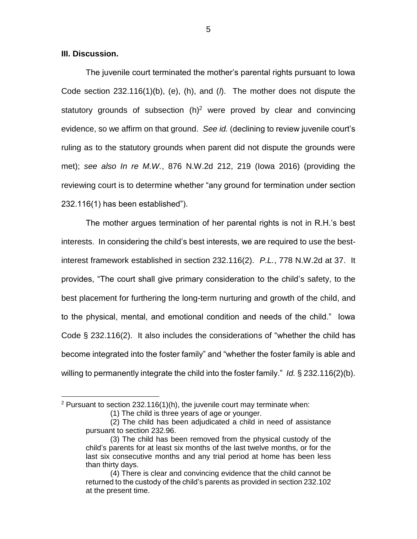**III. Discussion.**

 $\overline{a}$ 

The juvenile court terminated the mother's parental rights pursuant to Iowa Code section 232.116(1)(b), (e), (h), and (*l*). The mother does not dispute the statutory grounds of subsection  $(h)^2$  were proved by clear and convincing evidence, so we affirm on that ground. *See id.* (declining to review juvenile court's ruling as to the statutory grounds when parent did not dispute the grounds were met); *see also In re M.W.*, 876 N.W.2d 212, 219 (Iowa 2016) (providing the reviewing court is to determine whether "any ground for termination under section 232.116(1) has been established").

The mother argues termination of her parental rights is not in R.H.'s best interests. In considering the child's best interests, we are required to use the bestinterest framework established in section 232.116(2). *P.L.*, 778 N.W.2d at 37. It provides, "The court shall give primary consideration to the child's safety, to the best placement for furthering the long-term nurturing and growth of the child, and to the physical, mental, and emotional condition and needs of the child." Iowa Code § 232.116(2). It also includes the considerations of "whether the child has become integrated into the foster family" and "whether the foster family is able and willing to permanently integrate the child into the foster family." *Id.* § 232.116(2)(b).

<sup>&</sup>lt;sup>2</sup> Pursuant to section 232.116(1)(h), the juvenile court may terminate when:

<sup>(1)</sup> The child is three years of age or younger.

<sup>(2)</sup> The child has been adjudicated a child in need of assistance pursuant to section 232.96.

<sup>(3)</sup> The child has been removed from the physical custody of the child's parents for at least six months of the last twelve months, or for the last six consecutive months and any trial period at home has been less than thirty days.

<sup>(4)</sup> There is clear and convincing evidence that the child cannot be returned to the custody of the child's parents as provided in section 232.102 at the present time.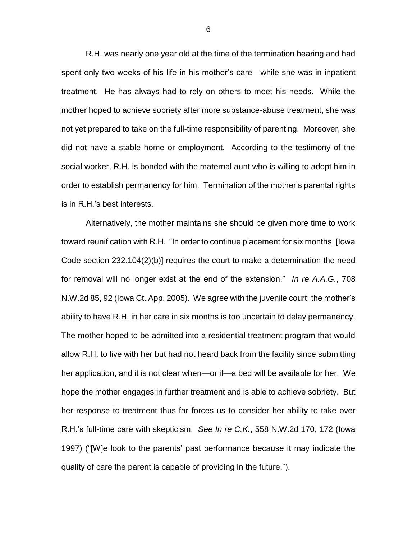R.H. was nearly one year old at the time of the termination hearing and had spent only two weeks of his life in his mother's care—while she was in inpatient treatment. He has always had to rely on others to meet his needs. While the mother hoped to achieve sobriety after more substance-abuse treatment, she was not yet prepared to take on the full-time responsibility of parenting. Moreover, she did not have a stable home or employment. According to the testimony of the social worker, R.H. is bonded with the maternal aunt who is willing to adopt him in order to establish permanency for him. Termination of the mother's parental rights is in R.H.'s best interests.

Alternatively, the mother maintains she should be given more time to work toward reunification with R.H. "In order to continue placement for six months, [Iowa Code section 232.104(2)(b)] requires the court to make a determination the need for removal will no longer exist at the end of the extension." *In re A.A.G.*, 708 N.W.2d 85, 92 (Iowa Ct. App. 2005). We agree with the juvenile court; the mother's ability to have R.H. in her care in six months is too uncertain to delay permanency. The mother hoped to be admitted into a residential treatment program that would allow R.H. to live with her but had not heard back from the facility since submitting her application, and it is not clear when—or if—a bed will be available for her. We hope the mother engages in further treatment and is able to achieve sobriety. But her response to treatment thus far forces us to consider her ability to take over R.H.'s full-time care with skepticism. *See In re C.K.*, 558 N.W.2d 170, 172 (Iowa 1997) ("[W]e look to the parents' past performance because it may indicate the quality of care the parent is capable of providing in the future.").